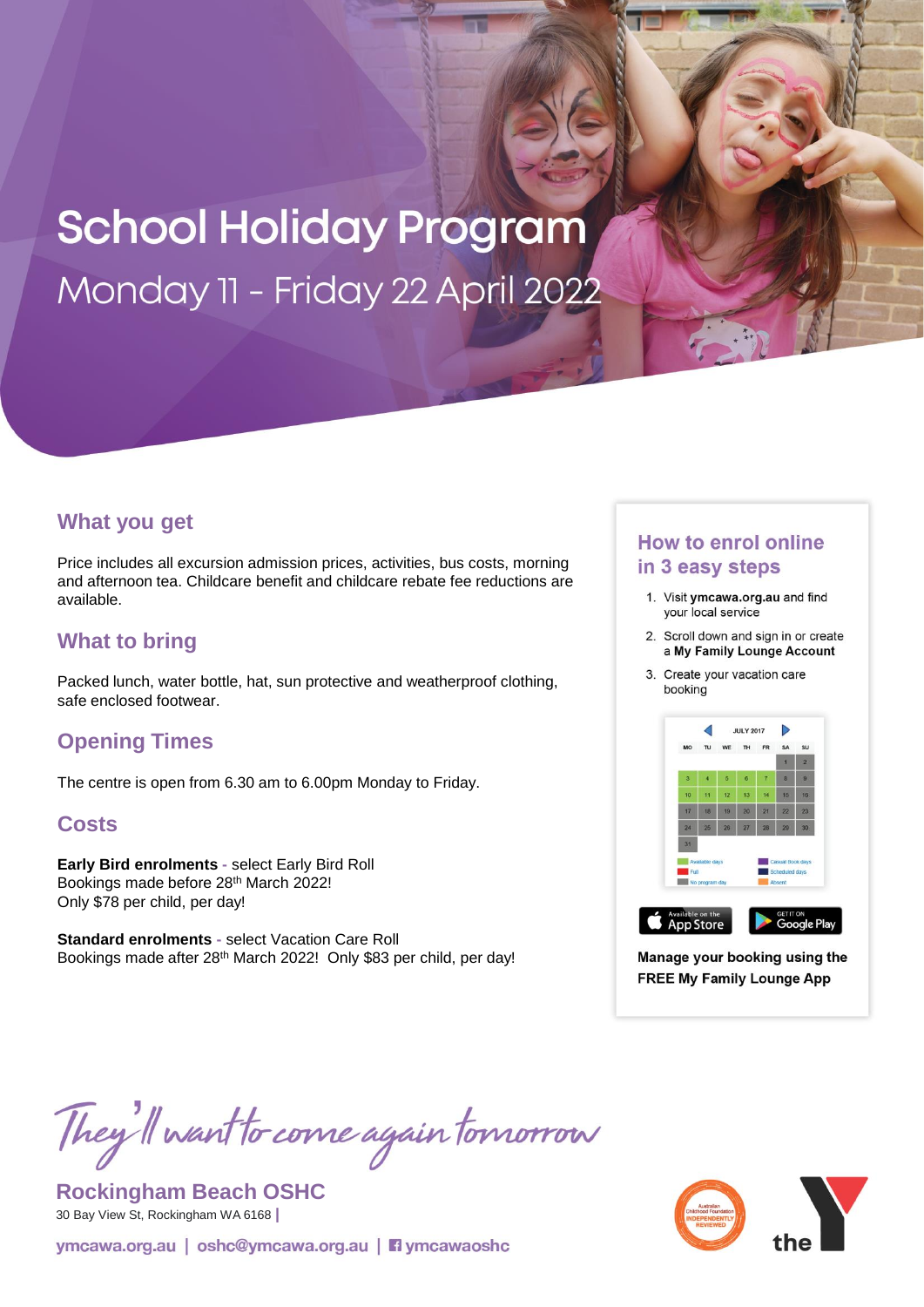# **School Holiday Program** Monday 11 - Friday 22 April 2022

### **What you get**

Price includes all excursion admission prices, activities, bus costs, morning and afternoon tea. Childcare benefit and childcare rebate fee reductions are available.

## **What to bring**

Packed lunch, water bottle, hat, sun protective and weatherproof clothing, safe enclosed footwear.

# **Opening Times**

The centre is open from 6.30 am to 6.00pm Monday to Friday.

#### **Costs**

**Early Bird enrolments -** select Early Bird Roll Bookings made before 28th March 2022! Only \$78 per child, per day!

**Standard enrolments -** select Vacation Care Roll Bookings made after 28th March 2022! Only \$83 per child, per day!

#### **How to enrol online** in 3 easy steps

- 1. Visit ymcawa.org.au and find your local service
- 2. Scroll down and sign in or create a My Family Lounge Account
- 3. Create your vacation care booking



Manage your booking using the **FREE My Family Lounge App** 

They'll want to come again tomorrow

**Rockingham Beach OSHC** 30 Bay View St, Rockingham WA 6168 **|**

ymcawa.org.au | oshc@ymcawa.org.au | **Fi** ymcawaoshc